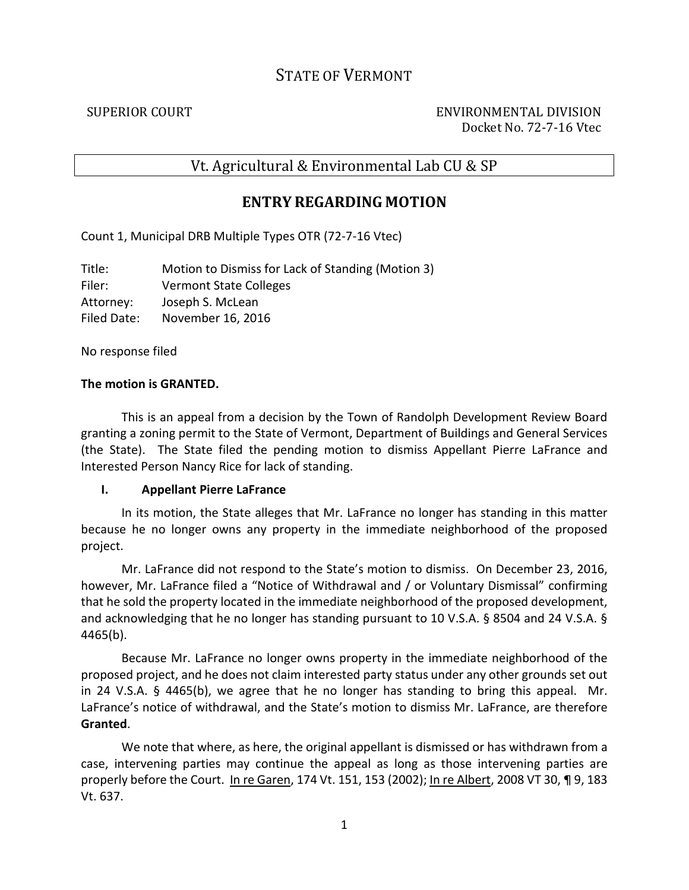# STATE OF VERMONT

SUPERIOR COURT ENVIRONMENTAL DIVISION Docket No. 72-7-16 Vtec

# Vt. Agricultural & Environmental Lab CU & SP

## **ENTRY REGARDING MOTION**

Count 1, Municipal DRB Multiple Types OTR (72-7-16 Vtec)

Title: Motion to Dismiss for Lack of Standing (Motion 3) Filer: Vermont State Colleges Attorney: Joseph S. McLean Filed Date: November 16, 2016

No response filed

### **The motion is GRANTED.**

This is an appeal from a decision by the Town of Randolph Development Review Board granting a zoning permit to the State of Vermont, Department of Buildings and General Services (the State). The State filed the pending motion to dismiss Appellant Pierre LaFrance and Interested Person Nancy Rice for lack of standing.

#### **I. Appellant Pierre LaFrance**

In its motion, the State alleges that Mr. LaFrance no longer has standing in this matter because he no longer owns any property in the immediate neighborhood of the proposed project.

Mr. LaFrance did not respond to the State's motion to dismiss. On December 23, 2016, however, Mr. LaFrance filed a "Notice of Withdrawal and / or Voluntary Dismissal" confirming that he sold the property located in the immediate neighborhood of the proposed development, and acknowledging that he no longer has standing pursuant to 10 V.S.A. § 8504 and 24 V.S.A. § 4465(b).

Because Mr. LaFrance no longer owns property in the immediate neighborhood of the proposed project, and he does not claim interested party status under any other grounds set out in 24 V.S.A. § 4465(b), we agree that he no longer has standing to bring this appeal. Mr. LaFrance's notice of withdrawal, and the State's motion to dismiss Mr. LaFrance, are therefore **Granted**.

We note that where, as here, the original appellant is dismissed or has withdrawn from a case, intervening parties may continue the appeal as long as those intervening parties are properly before the Court. In re Garen, 174 Vt. 151, 153 (2002); In re Albert, 2008 VT 30, ¶ 9, 183 Vt. 637.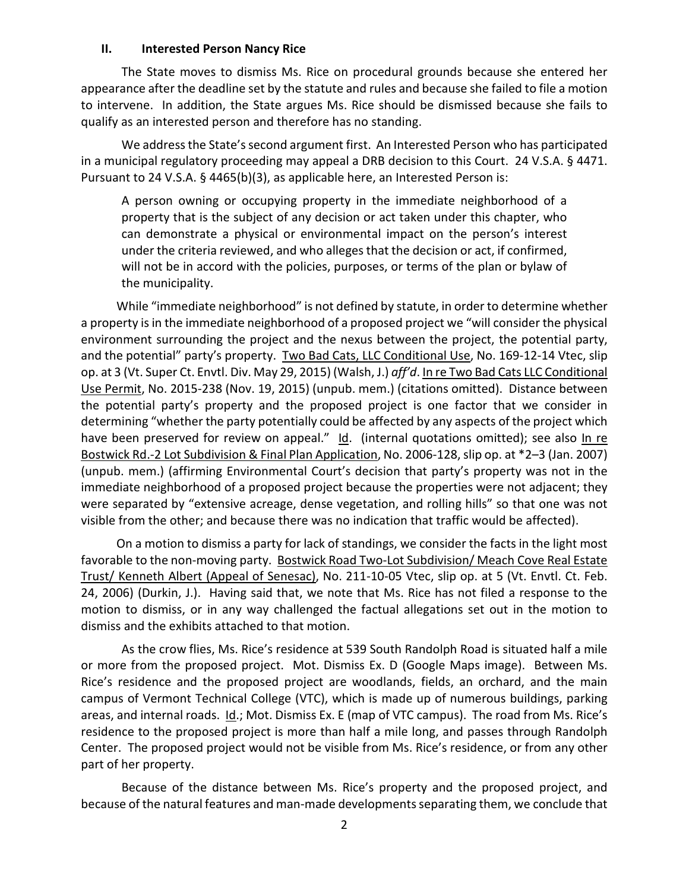#### **II. Interested Person Nancy Rice**

The State moves to dismiss Ms. Rice on procedural grounds because she entered her appearance after the deadline set by the statute and rules and because she failed to file a motion to intervene. In addition, the State argues Ms. Rice should be dismissed because she fails to qualify as an interested person and therefore has no standing.

We address the State's second argument first. An Interested Person who has participated in a municipal regulatory proceeding may appeal a DRB decision to this Court. 24 V.S.A. § 4471. Pursuant to 24 V.S.A. § 4465(b)(3), as applicable here, an Interested Person is:

A person owning or occupying property in the immediate neighborhood of a property that is the subject of any decision or act taken under this chapter, who can demonstrate a physical or environmental impact on the person's interest under the criteria reviewed, and who alleges that the decision or act, if confirmed, will not be in accord with the policies, purposes, or terms of the plan or bylaw of the municipality.

 While "immediate neighborhood" is not defined by statute, in order to determine whether a property is in the immediate neighborhood of a proposed project we "will consider the physical environment surrounding the project and the nexus between the project, the potential party, and the potential" party's property. Two Bad Cats, LLC Conditional Use, No. 169-12-14 Vtec, slip op. at 3 (Vt. Super Ct. Envtl. Div. May 29, 2015) (Walsh, J.) *aff'd*. In re Two Bad Cats LLC Conditional Use Permit, No. 2015-238 (Nov. 19, 2015) (unpub. mem.) (citations omitted). Distance between the potential party's property and the proposed project is one factor that we consider in determining "whether the party potentially could be affected by any aspects of the project which have been preserved for review on appeal." Id. (internal quotations omitted); see also In re Bostwick Rd.-2 Lot Subdivision & Final Plan Application, No. 2006-128, slip op. at \*2–3 (Jan. 2007) (unpub. mem.) (affirming Environmental Court's decision that party's property was not in the immediate neighborhood of a proposed project because the properties were not adjacent; they were separated by "extensive acreage, dense vegetation, and rolling hills" so that one was not visible from the other; and because there was no indication that traffic would be affected).

 On a motion to dismiss a party for lack of standings, we consider the facts in the light most favorable to the non-moving party. Bostwick Road Two-Lot Subdivision/ Meach Cove Real Estate Trust/ Kenneth Albert (Appeal of Senesac), No. 211-10-05 Vtec, slip op. at 5 (Vt. Envtl. Ct. Feb. 24, 2006) (Durkin, J.). Having said that, we note that Ms. Rice has not filed a response to the motion to dismiss, or in any way challenged the factual allegations set out in the motion to dismiss and the exhibits attached to that motion.

As the crow flies, Ms. Rice's residence at 539 South Randolph Road is situated half a mile or more from the proposed project. Mot. Dismiss Ex. D (Google Maps image). Between Ms. Rice's residence and the proposed project are woodlands, fields, an orchard, and the main campus of Vermont Technical College (VTC), which is made up of numerous buildings, parking areas, and internal roads. Id.; Mot. Dismiss Ex. E (map of VTC campus). The road from Ms. Rice's residence to the proposed project is more than half a mile long, and passes through Randolph Center. The proposed project would not be visible from Ms. Rice's residence, or from any other part of her property.

Because of the distance between Ms. Rice's property and the proposed project, and because of the natural features and man-made developments separating them, we conclude that